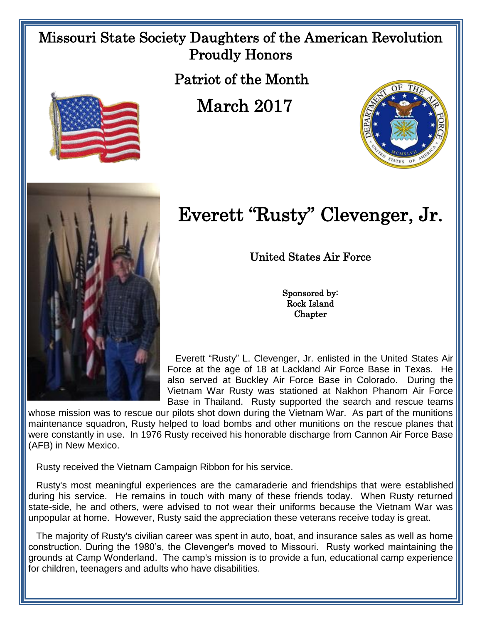## Missouri State Society Daughters of the American Revolution Proudly Honors

Patriot of the Month

March 2017





## Everett "Rusty" Clevenger, Jr.

United States Air Force

Sponsored by: Rock Island **Chapter** 

 Everett "Rusty" L. Clevenger, Jr. enlisted in the United States Air Force at the age of 18 at Lackland Air Force Base in Texas. He also served at Buckley Air Force Base in Colorado. During the Vietnam War Rusty was stationed at Nakhon Phanom Air Force Base in Thailand. Rusty supported the search and rescue teams

whose mission was to rescue our pilots shot down during the Vietnam War. As part of the munitions maintenance squadron, Rusty helped to load bombs and other munitions on the rescue planes that were constantly in use. In 1976 Rusty received his honorable discharge from Cannon Air Force Base (AFB) in New Mexico.

Rusty received the Vietnam Campaign Ribbon for his service.

 Rusty's most meaningful experiences are the camaraderie and friendships that were established during his service. He remains in touch with many of these friends today. When Rusty returned state-side, he and others, were advised to not wear their uniforms because the Vietnam War was unpopular at home. However, Rusty said the appreciation these veterans receive today is great.

 The majority of Rusty's civilian career was spent in auto, boat, and insurance sales as well as home construction. During the 1980's, the Clevenger's moved to Missouri. Rusty worked maintaining the grounds at Camp Wonderland. The camp's mission is to provide a fun, educational camp experience for children, teenagers and adults who have disabilities.